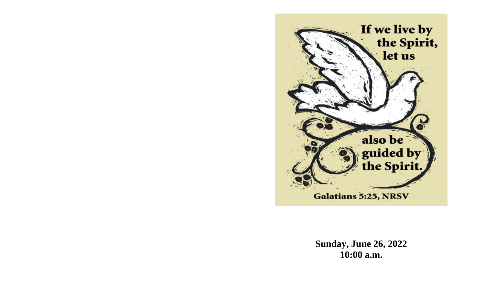

**Sunday, June 26, 2022 10:00 a.m.**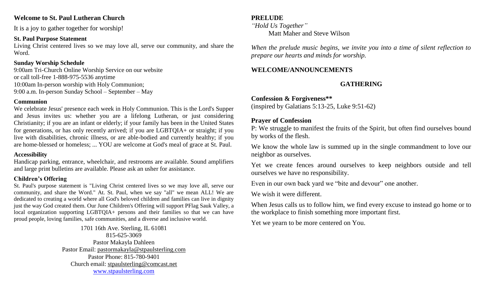### **Welcome to St. Paul Lutheran Church**

It is a joy to gather together for worship!

#### **St. Paul Purpose Statement**

Living Christ centered lives so we may love all, serve our community, and share the Word.

### **Sunday Worship Schedule**

9:00am Tri-Church Online Worship Service on our website or call toll-free 1-888-975-5536 anytime 10:00am In-person worship with Holy Communion; 9:00 a.m. In-person Sunday School – September – May

#### **Communion**

We celebrate Jesus' presence each week in Holy Communion. This is the Lord's Supper and Jesus invites us: whether you are a lifelong Lutheran, or just considering Christianity; if you are an infant or elderly; if your family has been in the United States for generations, or has only recently arrived; if you are LGBTQIA+ or straight; if you live with disabilities, chronic illness, or are able-bodied and currently healthy; if you are home-blessed or homeless; ... YOU are welcome at God's meal of grace at St. Paul.

### **Accessibility**

Handicap parking, entrance, wheelchair, and restrooms are available. Sound amplifiers and large print bulletins are available. Please ask an usher for assistance.

### **Children's Offering**

St. Paul's purpose statement is "Living Christ centered lives so we may love all, serve our community, and share the Word." At. St. Paul, when we say "all" we mean ALL! We are dedicated to creating a world where all God's beloved children and families can live in dignity just the way God created them. Our June Children's Offering will support PFlag Sauk Valley, a local organization supporting LGBTQIA+ persons and their families so that we can have proud people, loving families, safe communities, and a diverse and inclusive world.

> 1701 16th Ave. Sterling, IL 61081 815-625-3069 Pastor Makayla Dahleen Pastor Email: [pastormakayla@stpaulsterling.com](mailto:pastormakayla@stpaulsterling.com) Pastor Phone: 815-780-9401 Church email: [stpaulsterling@comcast.net](mailto:stpaulsterling@comcast.net) [www.stpaulsterling.com](http://www.stpaulsterling.com/)

#### **PRELUDE**

*"Hold Us Together"* Matt Maher and Steve Wilson

*When the prelude music begins, we invite you into a time of silent reflection to prepare our hearts and minds for worship.*

### **WELCOME/ANNOUNCEMENTS**

# **GATHERING**

**Confession & Forgiveness\*\*** (inspired by Galatians 5:13-25, Luke 9:51-62)

### **Prayer of Confession**

P: We struggle to manifest the fruits of the Spirit, but often find ourselves bound by works of the flesh.

We know the whole law is summed up in the single commandment to love our neighbor as ourselves.

Yet we create fences around ourselves to keep neighbors outside and tell ourselves we have no responsibility.

Even in our own back yard we "bite and devour" one another.

We wish it were different.

When Jesus calls us to follow him, we find every excuse to instead go home or to the workplace to finish something more important first.

Yet we yearn to be more centered on You.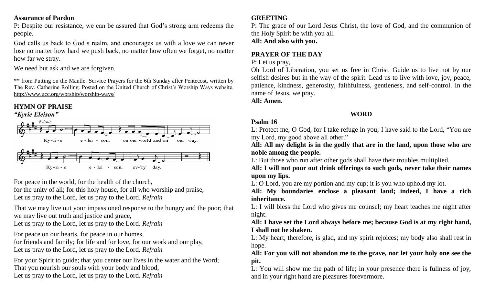### **Assurance of Pardon**

P: Despite our resistance, we can be assured that God's strong arm redeems the people.

God calls us back to God's realm, and encourages us with a love we can never lose no matter how hard we push back, no matter how often we forget, no matter how far we stray.

We need but ask and we are forgiven.

\*\* from Putting on the Mantle: Service Prayers for the 6th Sunday after Pentecost, written by The Rev. Catherine Rolling. Posted on the United Church of Christ's Worship Ways website. <http://www.ucc.org/worship/worship-ways/>

# **HYMN OF PRAISE**





For peace in the world, for the health of the church,

for the unity of all; for this holy house, for all who worship and praise, Let us pray to the Lord, let us pray to the Lord. *Refrain*

That we may live out your impassioned response to the hungry and the poor; that we may live out truth and justice and grace,

Let us pray to the Lord, let us pray to the Lord. *Refrain*

For peace on our hearts, for peace in our homes,

for friends and family; for life and for love, for our work and our play, Let us pray to the Lord, let us pray to the Lord. *Refrain*

For your Spirit to guide; that you center our lives in the water and the Word; That you nourish our souls with your body and blood, Let us pray to the Lord, let us pray to the Lord. *Refrain*

### **GREETING**

P: The grace of our Lord Jesus Christ, the love of God, and the communion of the Holy Spirit be with you all.

**All: And also with you.**

# **PRAYER OF THE DAY**

P: Let us pray,

Oh Lord of Liberation, you set us free in Christ. Guide us to live not by our selfish desires but in the way of the spirit. Lead us to live with love, joy, peace, patience, kindness, generosity, faithfulness, gentleness, and self-control. In the name of Jesus, we pray.

**All: Amen.**

# **WORD**

# **Psalm 16**

L: Protect me, O God, for I take refuge in you; I have said to the Lord, "You are my Lord, my good above all other."

**All: All my delight is in the godly that are in the land, upon those who are noble among the people.**

L: But those who run after other gods shall have their troubles multiplied.

**All: I will not pour out drink offerings to such gods, never take their names upon my lips.**

L: O Lord, you are my portion and my cup; it is you who uphold my lot.

**All: My boundaries enclose a pleasant land; indeed, I have a rich inheritance.**

L: I will bless the Lord who gives me counsel; my heart teaches me night after night.

### **All: I have set the Lord always before me; because God is at my right hand, I shall not be shaken.**

L: My heart, therefore, is glad, and my spirit rejoices; my body also shall rest in hope.

**All: For you will not abandon me to the grave, nor let your holy one see the pit.**

L: You will show me the path of life; in your presence there is fullness of joy, and in your right hand are pleasures forevermore.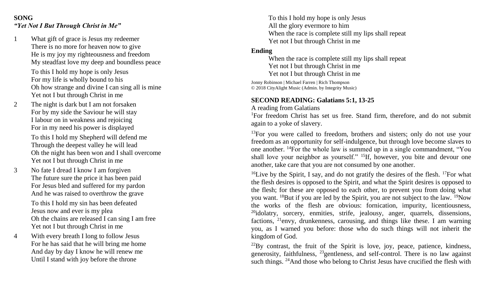### **SONG** *"Yet Not I But Through Christ in Me"*

- 1 What gift of grace is Jesus my redeemer There is no more for heaven now to give He is my joy my righteousness and freedom My steadfast love my deep and boundless peace To this I hold my hope is only Jesus For my life is wholly bound to his Oh how strange and divine I can sing all is mine Yet not I but through Christ in me
- 2 The night is dark but I am not forsaken For by my side the Saviour he will stay I labour on in weakness and rejoicing For in my need his power is displayed

To this I hold my Shepherd will defend me Through the deepest valley he will lead Oh the night has been won and I shall overcome Yet not I but through Christ in me

3 No fate I dread I know I am forgiven The future sure the price it has been paid For Jesus bled and suffered for my pardon And he was raised to overthrow the grave

> To this I hold my sin has been defeated Jesus now and ever is my plea Oh the chains are released I can sing I am free Yet not I but through Christ in me

4 With every breath I long to follow Jesus For he has said that he will bring me home And day by day I know he will renew me Until I stand with joy before the throne

To this I hold my hope is only Jesus All the glory evermore to him When the race is complete still my lips shall repeat Yet not I but through Christ in me

#### **Ending**

When the race is complete still my lips shall repeat Yet not I but through Christ in me Yet not I but through Christ in me

Jonny Robinson | Michael Farren | Rich Thompson © 2018 CityAlight Music (Admin. by Integrity Music)

### **SECOND READING: Galatians 5:1, 13-25**

A reading from Galatians

<sup>1</sup>For freedom Christ has set us free. Stand firm, therefore, and do not submit again to a yoke of slavery.

 $13$ For you were called to freedom, brothers and sisters; only do not use your freedom as an opportunity for self-indulgence, but through love become slaves to one another. <sup>14</sup>For the whole law is summed up in a single commandment, "You shall love your neighbor as yourself." <sup>15</sup>If, however, you bite and devour one another, take care that you are not consumed by one another.

<sup>16</sup>Live by the Spirit, I say, and do not gratify the desires of the flesh. <sup>17</sup>For what the flesh desires is opposed to the Spirit, and what the Spirit desires is opposed to the flesh; for these are opposed to each other, to prevent you from doing what you want. <sup>18</sup>But if you are led by the Spirit, you are not subject to the law. <sup>19</sup>Now the works of the flesh are obvious: fornication, impurity, licentiousness, <sup>20</sup>idolatry, sorcery, enmities, strife, jealousy, anger, quarrels, dissensions, factions, <sup>21</sup>envy, drunkenness, carousing, and things like these. I am warning you, as I warned you before: those who do such things will not inherit the kingdom of God.

 $22$ By contrast, the fruit of the Spirit is love, joy, peace, patience, kindness, generosity, faithfulness,  $^{23}$  gentleness, and self-control. There is no law against such things. <sup>24</sup>And those who belong to Christ Jesus have crucified the flesh with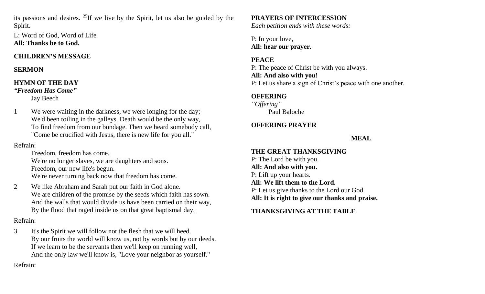its passions and desires. <sup>25</sup>If we live by the Spirit, let us also be guided by the Spirit.

L: Word of God, Word of Life **All: Thanks be to God.**

### **CHILDREN'S MESSAGE**

### **SERMON**

#### **HYMN OF THE DAY** *"Freedom Has Come"*

Jay Beech

1 We were waiting in the darkness, we were longing for the day; We'd been toiling in the galleys. Death would be the only way, To find freedom from our bondage. Then we heard somebody call, "Come be crucified with Jesus, there is new life for you all."

# Refrain:

Freedom, freedom has come. We're no longer slaves, we are daughters and sons. Freedom, our new life's begun. We're never turning back now that freedom has come.

2 We like Abraham and Sarah put our faith in God alone. We are children of the promise by the seeds which faith has sown. And the walls that would divide us have been carried on their way, By the flood that raged inside us on that great baptismal day.

# Refrain:

3 It's the Spirit we will follow not the flesh that we will heed. By our fruits the world will know us, not by words but by our deeds. If we learn to be the servants then we'll keep on running well, And the only law we'll know is, "Love your neighbor as yourself."

# **PRAYERS OF INTERCESSION**

*Each petition ends with these words:*

P: In your love, **All: hear our prayer.**

### **PEACE**

P: The peace of Christ be with you always. **All: And also with you!** P: Let us share a sign of Christ's peace with one another.

### **OFFERING**

*"Offering"* Paul Baloche

# **OFFERING PRAYER**

# **MEAL**

# **THE GREAT THANKSGIVING**

P: The Lord be with you. **All: And also with you.** P: Lift up your hearts. **All: We lift them to the Lord.** P: Let us give thanks to the Lord our God. **All: It is right to give our thanks and praise.**

# **THANKSGIVING AT THE TABLE**

Refrain: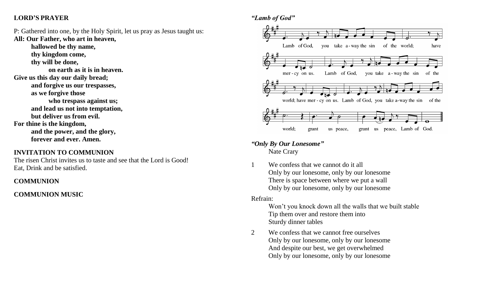### **LORD'S PRAYER**

P: Gathered into one, by the Holy Spirit, let us pray as Jesus taught us: **All: Our Father, who art in heaven,**

**hallowed be thy name, thy kingdom come,**

**thy will be done,**

**on earth as it is in heaven.**

**Give us this day our daily bread;**

**and forgive us our trespasses,**

**as we forgive those**

**who trespass against us; and lead us not into temptation,**

**but deliver us from evil.**

**For thine is the kingdom,**

**and the power, and the glory, forever and ever. Amen.**

### **INVITATION TO COMMUNION**

The risen Christ invites us to taste and see that the Lord is Good! Eat, Drink and be satisfied.

### **COMMUNION**

### **COMMUNION MUSIC**



*"Only By Our Lonesome"* Nate Crary

1 We confess that we cannot do it all Only by our lonesome, only by our lonesome There is space between where we put a wall Only by our lonesome, only by our lonesome

#### Refrain:

Won't you knock down all the walls that we built stable Tip them over and restore them into Sturdy dinner tables

2 We confess that we cannot free ourselves Only by our lonesome, only by our lonesome And despite our best, we get overwhelmed Only by our lonesome, only by our lonesome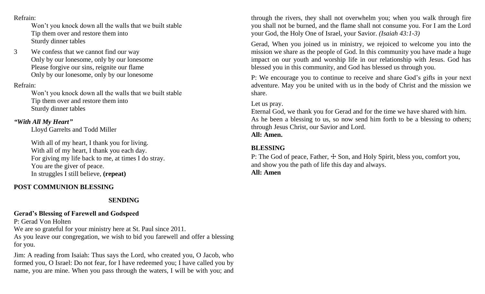#### Refrain:

Won't you knock down all the walls that we built stable Tip them over and restore them into Sturdy dinner tables

3 We confess that we cannot find our way Only by our lonesome, only by our lonesome Please forgive our sins, reignite our flame Only by our lonesome, only by our lonesome

### Refrain:

Won't you knock down all the walls that we built stable Tip them over and restore them into Sturdy dinner tables

### *"With All My Heart"*

Lloyd Garrelts and Todd Miller

With all of my heart, I thank you for living. With all of my heart, I thank you each day. For giving my life back to me, at times I do stray. You are the giver of peace. In struggles I still believe, **(repeat)**

### **POST COMMUNION BLESSING**

# **SENDING**

# **Gerad's Blessing of Farewell and Godspeed**

P: Gerad Von Holten

We are so grateful for your ministry here at St. Paul since 2011.

As you leave our congregation*,* we wish to bid you farewell and offer a blessing for you.

Jim: A reading from Isaiah: Thus says the Lord, who created you, O Jacob, who formed you, O Israel: Do not fear, for I have redeemed you; I have called you by name, you are mine. When you pass through the waters, I will be with you; and

through the rivers, they shall not overwhelm you; when you walk through fire you shall not be burned, and the flame shall not consume you. For I am the Lord your God, the Holy One of Israel, your Savior. *(Isaiah 43:1-3)*

Gerad, When you joined us in ministry, we rejoiced to welcome you into the mission we share as the people of God. In this community you have made a huge impact on our youth and worship life in our relationship with Jesus. God has blessed you in this community, and God has blessed us through you.

P: We encourage you to continue to receive and share God's gifts in your next adventure. May you be united with us in the body of Christ and the mission we share.

### Let us pray.

Eternal God, we thank you for Gerad and for the time we have shared with him. As he been a blessing to us, so now send him forth to be a blessing to others; through Jesus Christ, our Savior and Lord. **All: Amen.**

## **BLESSING**

P: The God of peace, Father,  $\pm$  Son, and Holy Spirit, bless you, comfort you, and show you the path of life this day and always.

### **All: Amen**